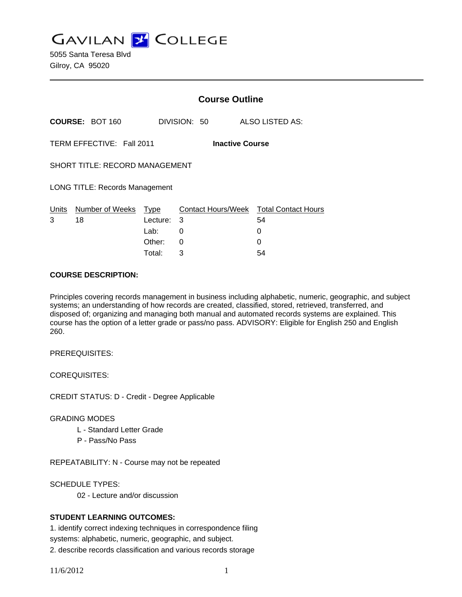**GAVILAN J COLLEGE** 

5055 Santa Teresa Blvd Gilroy, CA 95020

|                                       |                                       | <b>Course Outline</b> |                        |                                              |  |
|---------------------------------------|---------------------------------------|-----------------------|------------------------|----------------------------------------------|--|
| <b>COURSE: BOT 160</b>                |                                       |                       | DIVISION: 50           | <b>ALSO LISTED AS:</b>                       |  |
|                                       | TERM EFFECTIVE: Fall 2011             |                       | <b>Inactive Course</b> |                                              |  |
| <b>SHORT TITLE: RECORD MANAGEMENT</b> |                                       |                       |                        |                                              |  |
|                                       | <b>LONG TITLE: Records Management</b> |                       |                        |                                              |  |
| Units<br>3                            | Number of Weeks Type<br>18            | Lecture:              | 3                      | Contact Hours/Week Total Contact Hours<br>54 |  |
|                                       |                                       | Lab:                  | 0                      | 0                                            |  |
|                                       |                                       | Other:                | 0                      | 0                                            |  |
|                                       |                                       | Total:                | 3                      | 54                                           |  |

#### **COURSE DESCRIPTION:**

Principles covering records management in business including alphabetic, numeric, geographic, and subject systems; an understanding of how records are created, classified, stored, retrieved, transferred, and disposed of; organizing and managing both manual and automated records systems are explained. This course has the option of a letter grade or pass/no pass. ADVISORY: Eligible for English 250 and English 260.

PREREQUISITES:

COREQUISITES:

CREDIT STATUS: D - Credit - Degree Applicable

## GRADING MODES

- L Standard Letter Grade
- P Pass/No Pass

REPEATABILITY: N - Course may not be repeated

SCHEDULE TYPES:

02 - Lecture and/or discussion

## **STUDENT LEARNING OUTCOMES:**

1. identify correct indexing techniques in correspondence filing systems: alphabetic, numeric, geographic, and subject. 2. describe records classification and various records storage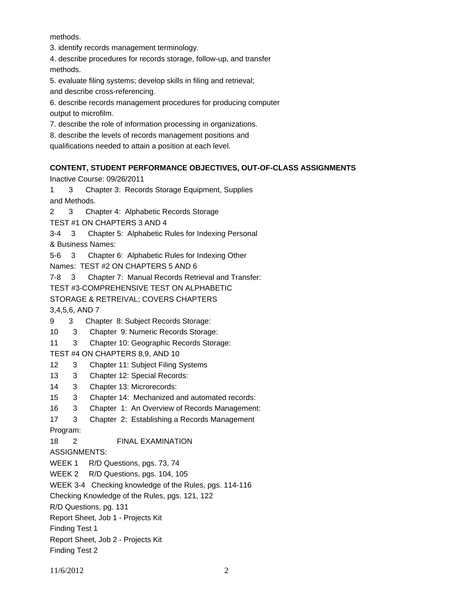methods.

3. identify records management terminology.

4. describe procedures for records storage, follow-up, and transfer methods.

5. evaluate filing systems; develop skills in filing and retrieval;

and describe cross-referencing.

6. describe records management procedures for producing computer output to microfilm.

7. describe the role of information processing in organizations.

8. describe the levels of records management positions and

qualifications needed to attain a position at each level.

# **CONTENT, STUDENT PERFORMANCE OBJECTIVES, OUT-OF-CLASS ASSIGNMENTS**

Inactive Course: 09/26/2011

1 3 Chapter 3: Records Storage Equipment, Supplies and Methods.

2 3 Chapter 4: Alphabetic Records Storage

TEST #1 ON CHAPTERS 3 AND 4

3-4 3 Chapter 5: Alphabetic Rules for Indexing Personal

& Business Names:

5-6 3 Chapter 6: Alphabetic Rules for Indexing Other

Names: TEST #2 ON CHAPTERS 5 AND 6

7-8 3 Chapter 7: Manual Records Retrieval and Transfer:

TEST #3-COMPREHENSIVE TEST ON ALPHABETIC

STORAGE & RETREIVAL; COVERS CHAPTERS

3,4,5,6, AND 7

9 3 Chapter 8: Subject Records Storage:

10 3 Chapter 9: Numeric Records Storage:

11 3 Chapter 10: Geographic Records Storage:

TEST #4 ON CHAPTERS 8,9, AND 10

12 3 Chapter 11: Subject Filing Systems

13 3 Chapter 12: Special Records:

14 3 Chapter 13: Microrecords:

15 3 Chapter 14: Mechanized and automated records:

16 3 Chapter 1: An Overview of Records Management:

17 3 Chapter 2: Establishing a Records Management

Program:

18 2 FINAL EXAMINATION

ASSIGNMENTS:

WEEK 1 R/D Questions, pgs. 73, 74

WEEK 2 R/D Questions, pgs. 104, 105

WEEK 3-4 Checking knowledge of the Rules, pgs. 114-116

Checking Knowledge of the Rules, pgs. 121, 122

R/D Questions, pg. 131

Report Sheet, Job 1 - Projects Kit

Finding Test 1

Finding Test 2

Report Sheet, Job 2 - Projects Kit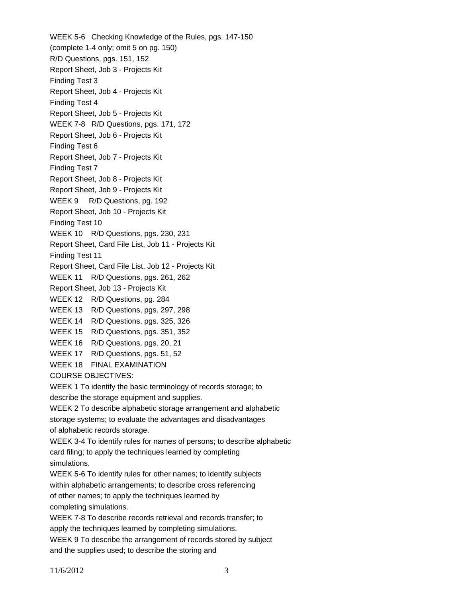WEEK 5-6 Checking Knowledge of the Rules, pgs. 147-150 (complete 1-4 only; omit 5 on pg. 150) R/D Questions, pgs. 151, 152 Report Sheet, Job 3 - Projects Kit Finding Test 3 Report Sheet, Job 4 - Projects Kit Finding Test 4 Report Sheet, Job 5 - Projects Kit WEEK 7-8 R/D Questions, pgs. 171, 172 Report Sheet, Job 6 - Projects Kit Finding Test 6 Report Sheet, Job 7 - Projects Kit Finding Test 7 Report Sheet, Job 8 - Projects Kit Report Sheet, Job 9 - Projects Kit WEEK 9 R/D Questions, pg. 192 Report Sheet, Job 10 - Projects Kit Finding Test 10 WEEK 10 R/D Questions, pgs. 230, 231 Report Sheet, Card File List, Job 11 - Projects Kit Finding Test 11 Report Sheet, Card File List, Job 12 - Projects Kit WEEK 11 R/D Questions, pgs. 261, 262 Report Sheet, Job 13 - Projects Kit WEEK 12 R/D Questions, pg. 284 WEEK 13 R/D Questions, pgs. 297, 298 WEEK 14 R/D Questions, pgs. 325, 326 WEEK 15 R/D Questions, pgs. 351, 352 WEEK 16 R/D Questions, pgs. 20, 21 WEEK 17 R/D Questions, pgs. 51, 52 WEEK 18 FINAL EXAMINATION COURSE OBJECTIVES: WEEK 1 To identify the basic terminology of records storage; to describe the storage equipment and supplies. WEEK 2 To describe alphabetic storage arrangement and alphabetic storage systems; to evaluate the advantages and disadvantages of alphabetic records storage. WEEK 3-4 To identify rules for names of persons; to describe alphabetic card filing; to apply the techniques learned by completing simulations. WEEK 5-6 To identify rules for other names; to identify subjects within alphabetic arrangements; to describe cross referencing of other names; to apply the techniques learned by completing simulations. WEEK 7-8 To describe records retrieval and records transfer; to apply the techniques learned by completing simulations. WEEK 9 To describe the arrangement of records stored by subject

and the supplies used; to describe the storing and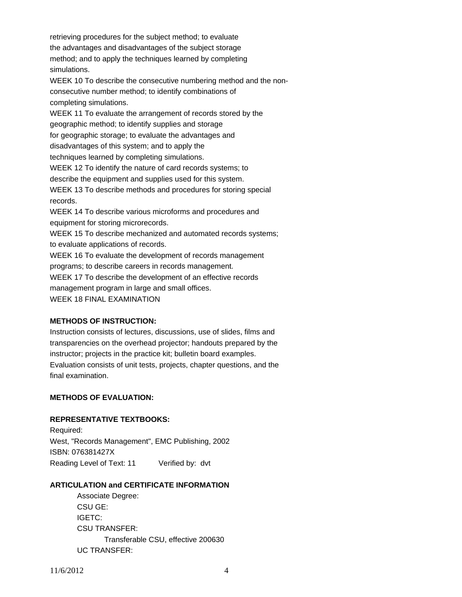retrieving procedures for the subject method; to evaluate the advantages and disadvantages of the subject storage method; and to apply the techniques learned by completing simulations. WEEK 10 To describe the consecutive numbering method and the nonconsecutive number method; to identify combinations of completing simulations. WEEK 11 To evaluate the arrangement of records stored by the geographic method; to identify supplies and storage for geographic storage; to evaluate the advantages and disadvantages of this system; and to apply the techniques learned by completing simulations. WEEK 12 To identify the nature of card records systems; to describe the equipment and supplies used for this system. WEEK 13 To describe methods and procedures for storing special records. WEEK 14 To describe various microforms and procedures and equipment for storing microrecords. WEEK 15 To describe mechanized and automated records systems; to evaluate applications of records. WEEK 16 To evaluate the development of records management programs; to describe careers in records management. WEEK 17 To describe the development of an effective records management program in large and small offices.

WEEK 18 FINAL EXAMINATION

## **METHODS OF INSTRUCTION:**

Instruction consists of lectures, discussions, use of slides, films and transparencies on the overhead projector; handouts prepared by the instructor; projects in the practice kit; bulletin board examples. Evaluation consists of unit tests, projects, chapter questions, and the final examination.

# **METHODS OF EVALUATION:**

## **REPRESENTATIVE TEXTBOOKS:**

Required: West, "Records Management", EMC Publishing, 2002 ISBN: 076381427X Reading Level of Text: 11 Verified by: dvt

## **ARTICULATION and CERTIFICATE INFORMATION**

 Associate Degree: CSU GE: IGETC: CSU TRANSFER: Transferable CSU, effective 200630 UC TRANSFER: